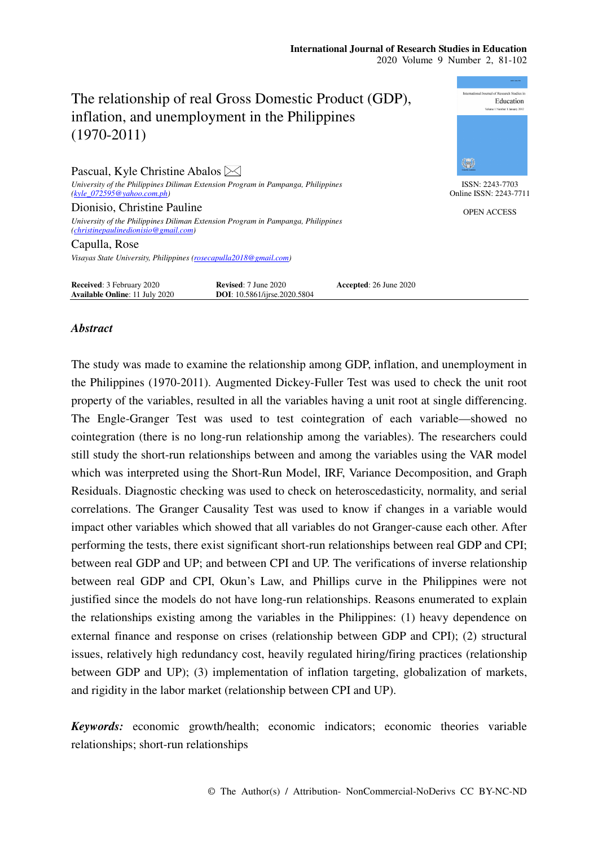# The relationship of real Gross Domestic Product (GDP), inflation, and unemployment in the Philippines (1970-2011)

Pascual, Kyle Christine Abalos  $\boxtimes$ *University of the Philippines Diliman Extension Program in Pampanga, Philippines (kyle\_072595@yahoo.com.ph)*  Dionisio, Christine Pauline

*University of the Philippines Diliman Extension Program in Pampanga, Philippines (christinepaulinedionisio@gmail.com)* 

Capulla, Rose

*Visayas State University, Philippines (rosecapulla2018@gmail.com)* 

**Received**: 3 February 2020 **Revised**: 7 June 2020 **Accepted**: 26 June 2020<br> **Axailable Online**: 11 July 2020 **DOI**: 10.5861/ijrse.2020.5804 **Available Online**: 11 July 2020

# *Abstract*

The study was made to examine the relationship among GDP, inflation, and unemployment in the Philippines (1970-2011). Augmented Dickey-Fuller Test was used to check the unit root property of the variables, resulted in all the variables having a unit root at single differencing. The Engle-Granger Test was used to test cointegration of each variable—showed no cointegration (there is no long-run relationship among the variables). The researchers could still study the short-run relationships between and among the variables using the VAR model which was interpreted using the Short-Run Model, IRF, Variance Decomposition, and Graph Residuals. Diagnostic checking was used to check on heteroscedasticity, normality, and serial correlations. The Granger Causality Test was used to know if changes in a variable would impact other variables which showed that all variables do not Granger-cause each other. After performing the tests, there exist significant short-run relationships between real GDP and CPI; between real GDP and UP; and between CPI and UP. The verifications of inverse relationship between real GDP and CPI, Okun's Law, and Phillips curve in the Philippines were not justified since the models do not have long-run relationships. Reasons enumerated to explain the relationships existing among the variables in the Philippines: (1) heavy dependence on external finance and response on crises (relationship between GDP and CPI); (2) structural issues, relatively high redundancy cost, heavily regulated hiring/firing practices (relationship between GDP and UP); (3) implementation of inflation targeting, globalization of markets, and rigidity in the labor market (relationship between CPI and UP).

*Keywords:* economic growth/health; economic indicators; economic theories variable relationships; short-run relationships



ISSN: 2243-7703 Online ISSN: 2243-7711

OPEN ACCESS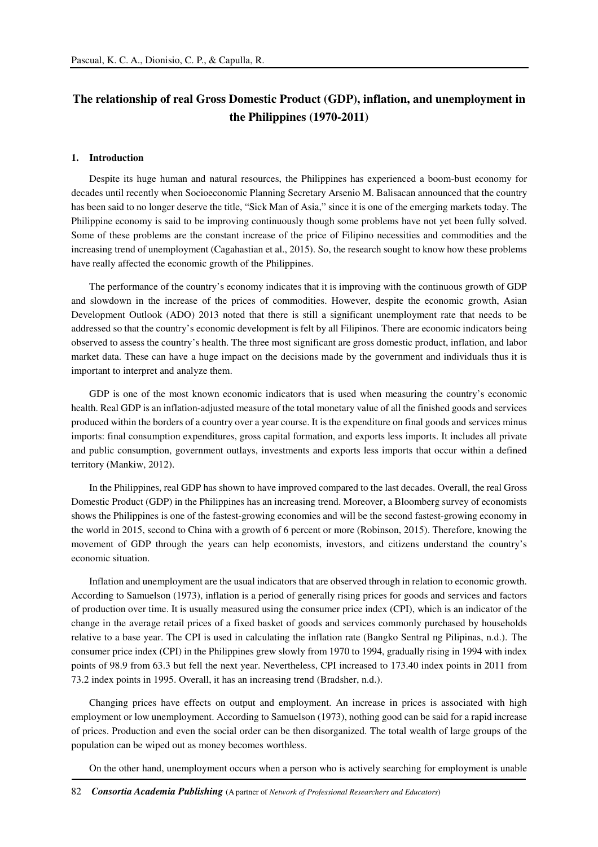# **The relationship of real Gross Domestic Product (GDP), inflation, and unemployment in the Philippines (1970-2011)**

#### **1. Introduction**

Despite its huge human and natural resources, the Philippines has experienced a boom-bust economy for decades until recently when Socioeconomic Planning Secretary Arsenio M. Balisacan announced that the country has been said to no longer deserve the title, "Sick Man of Asia," since it is one of the emerging markets today. The Philippine economy is said to be improving continuously though some problems have not yet been fully solved. Some of these problems are the constant increase of the price of Filipino necessities and commodities and the increasing trend of unemployment (Cagahastian et al., 2015). So, the research sought to know how these problems have really affected the economic growth of the Philippines.

The performance of the country's economy indicates that it is improving with the continuous growth of GDP and slowdown in the increase of the prices of commodities. However, despite the economic growth, Asian Development Outlook (ADO) 2013 noted that there is still a significant unemployment rate that needs to be addressed so that the country's economic development is felt by all Filipinos. There are economic indicators being observed to assess the country's health. The three most significant are gross domestic product, inflation, and labor market data. These can have a huge impact on the decisions made by the government and individuals thus it is important to interpret and analyze them.

GDP is one of the most known economic indicators that is used when measuring the country's economic health. Real GDP is an inflation-adjusted measure of the total monetary value of all the finished goods and services produced within the borders of a country over a year course. It is the expenditure on final goods and services minus imports: final consumption expenditures, gross capital formation, and exports less imports. It includes all private and public consumption, government outlays, investments and exports less imports that occur within a defined territory (Mankiw, 2012).

In the Philippines, real GDP has shown to have improved compared to the last decades. Overall, the real Gross Domestic Product (GDP) in the Philippines has an increasing trend. Moreover, a Bloomberg survey of economists shows the Philippines is one of the fastest-growing economies and will be the second fastest-growing economy in the world in 2015, second to China with a growth of 6 percent or more (Robinson, 2015). Therefore, knowing the movement of GDP through the years can help economists, investors, and citizens understand the country's economic situation.

Inflation and unemployment are the usual indicators that are observed through in relation to economic growth. According to Samuelson (1973), inflation is a period of generally rising prices for goods and services and factors of production over time. It is usually measured using the consumer price index (CPI), which is an indicator of the change in the average retail prices of a fixed basket of goods and services commonly purchased by households relative to a base year. The CPI is used in calculating the inflation rate (Bangko Sentral ng Pilipinas, n.d.). The consumer price index (CPI) in the Philippines grew slowly from 1970 to 1994, gradually rising in 1994 with index points of 98.9 from 63.3 but fell the next year. Nevertheless, CPI increased to 173.40 index points in 2011 from 73.2 index points in 1995. Overall, it has an increasing trend (Bradsher, n.d.).

Changing prices have effects on output and employment. An increase in prices is associated with high employment or low unemployment. According to Samuelson (1973), nothing good can be said for a rapid increase of prices. Production and even the social order can be then disorganized. The total wealth of large groups of the population can be wiped out as money becomes worthless.

On the other hand, unemployment occurs when a person who is actively searching for employment is unable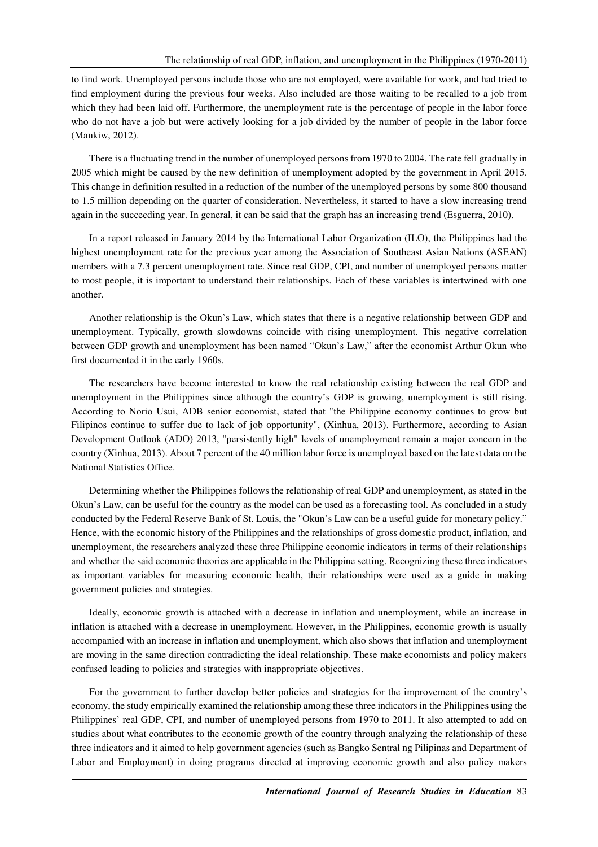to find work. Unemployed persons include those who are not employed, were available for work, and had tried to find employment during the previous four weeks. Also included are those waiting to be recalled to a job from which they had been laid off. Furthermore, the unemployment rate is the percentage of people in the labor force who do not have a job but were actively looking for a job divided by the number of people in the labor force (Mankiw, 2012).

There is a fluctuating trend in the number of unemployed persons from 1970 to 2004. The rate fell gradually in 2005 which might be caused by the new definition of unemployment adopted by the government in April 2015. This change in definition resulted in a reduction of the number of the unemployed persons by some 800 thousand to 1.5 million depending on the quarter of consideration. Nevertheless, it started to have a slow increasing trend again in the succeeding year. In general, it can be said that the graph has an increasing trend (Esguerra, 2010).

In a report released in January 2014 by the International Labor Organization (ILO), the Philippines had the highest unemployment rate for the previous year among the Association of Southeast Asian Nations (ASEAN) members with a 7.3 percent unemployment rate. Since real GDP, CPI, and number of unemployed persons matter to most people, it is important to understand their relationships. Each of these variables is intertwined with one another.

Another relationship is the Okun's Law, which states that there is a negative relationship between GDP and unemployment. Typically, growth slowdowns coincide with rising unemployment. This negative correlation between GDP growth and unemployment has been named "Okun's Law," after the economist Arthur Okun who first documented it in the early 1960s.

The researchers have become interested to know the real relationship existing between the real GDP and unemployment in the Philippines since although the country's GDP is growing, unemployment is still rising. According to Norio Usui, ADB senior economist, stated that "the Philippine economy continues to grow but Filipinos continue to suffer due to lack of job opportunity", (Xinhua, 2013). Furthermore, according to Asian Development Outlook (ADO) 2013, "persistently high" levels of unemployment remain a major concern in the country (Xinhua, 2013). About 7 percent of the 40 million labor force is unemployed based on the latest data on the National Statistics Office.

Determining whether the Philippines follows the relationship of real GDP and unemployment, as stated in the Okun's Law, can be useful for the country as the model can be used as a forecasting tool. As concluded in a study conducted by the Federal Reserve Bank of St. Louis, the "Okun's Law can be a useful guide for monetary policy." Hence, with the economic history of the Philippines and the relationships of gross domestic product, inflation, and unemployment, the researchers analyzed these three Philippine economic indicators in terms of their relationships and whether the said economic theories are applicable in the Philippine setting. Recognizing these three indicators as important variables for measuring economic health, their relationships were used as a guide in making government policies and strategies.

Ideally, economic growth is attached with a decrease in inflation and unemployment, while an increase in inflation is attached with a decrease in unemployment. However, in the Philippines, economic growth is usually accompanied with an increase in inflation and unemployment, which also shows that inflation and unemployment are moving in the same direction contradicting the ideal relationship. These make economists and policy makers confused leading to policies and strategies with inappropriate objectives.

For the government to further develop better policies and strategies for the improvement of the country's economy, the study empirically examined the relationship among these three indicators in the Philippines using the Philippines' real GDP, CPI, and number of unemployed persons from 1970 to 2011. It also attempted to add on studies about what contributes to the economic growth of the country through analyzing the relationship of these three indicators and it aimed to help government agencies (such as Bangko Sentral ng Pilipinas and Department of Labor and Employment) in doing programs directed at improving economic growth and also policy makers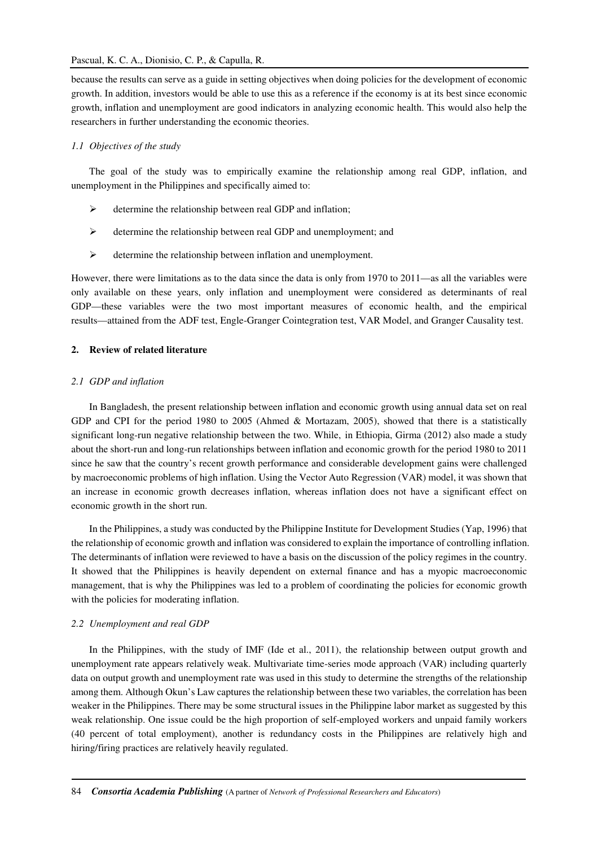because the results can serve as a guide in setting objectives when doing policies for the development of economic growth. In addition, investors would be able to use this as a reference if the economy is at its best since economic growth, inflation and unemployment are good indicators in analyzing economic health. This would also help the researchers in further understanding the economic theories.

# *1.1 Objectives of the study*

The goal of the study was to empirically examine the relationship among real GDP, inflation, and unemployment in the Philippines and specifically aimed to:

- $\triangleright$  determine the relationship between real GDP and inflation;
- $\triangleright$  determine the relationship between real GDP and unemployment; and
- $\triangleright$  determine the relationship between inflation and unemployment.

However, there were limitations as to the data since the data is only from 1970 to 2011—as all the variables were only available on these years, only inflation and unemployment were considered as determinants of real GDP—these variables were the two most important measures of economic health, and the empirical results—attained from the ADF test, Engle-Granger Cointegration test, VAR Model, and Granger Causality test.

#### **2. Review of related literature**

#### *2.1 GDP and inflation*

In Bangladesh, the present relationship between inflation and economic growth using annual data set on real GDP and CPI for the period 1980 to 2005 (Ahmed & Mortazam, 2005), showed that there is a statistically significant long-run negative relationship between the two. While, in Ethiopia, Girma (2012) also made a study about the short-run and long-run relationships between inflation and economic growth for the period 1980 to 2011 since he saw that the country's recent growth performance and considerable development gains were challenged by macroeconomic problems of high inflation. Using the Vector Auto Regression (VAR) model, it was shown that an increase in economic growth decreases inflation, whereas inflation does not have a significant effect on economic growth in the short run.

In the Philippines, a study was conducted by the Philippine Institute for Development Studies (Yap, 1996) that the relationship of economic growth and inflation was considered to explain the importance of controlling inflation. The determinants of inflation were reviewed to have a basis on the discussion of the policy regimes in the country. It showed that the Philippines is heavily dependent on external finance and has a myopic macroeconomic management, that is why the Philippines was led to a problem of coordinating the policies for economic growth with the policies for moderating inflation.

### *2.2 Unemployment and real GDP*

In the Philippines, with the study of IMF (Ide et al., 2011), the relationship between output growth and unemployment rate appears relatively weak. Multivariate time-series mode approach (VAR) including quarterly data on output growth and unemployment rate was used in this study to determine the strengths of the relationship among them. Although Okun's Law captures the relationship between these two variables, the correlation has been weaker in the Philippines. There may be some structural issues in the Philippine labor market as suggested by this weak relationship. One issue could be the high proportion of self-employed workers and unpaid family workers (40 percent of total employment), another is redundancy costs in the Philippines are relatively high and hiring/firing practices are relatively heavily regulated.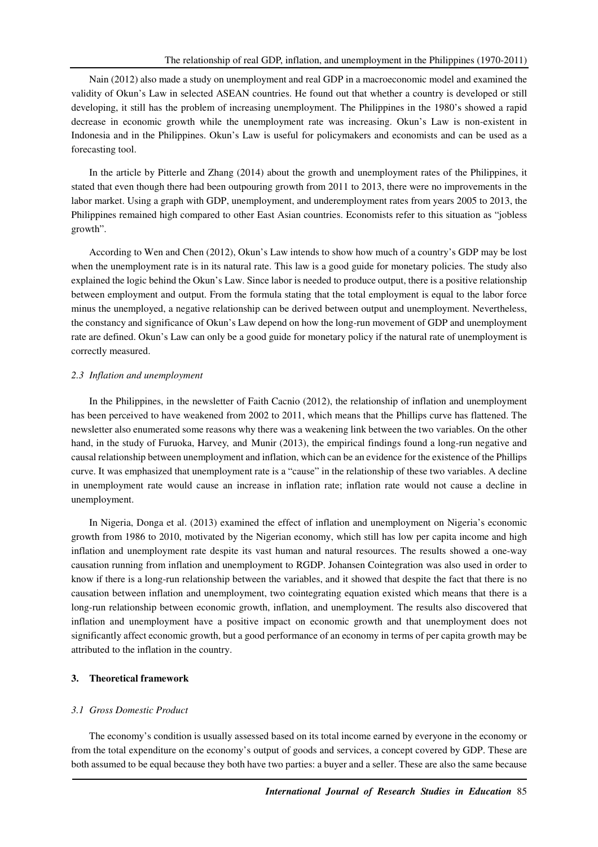Nain (2012) also made a study on unemployment and real GDP in a macroeconomic model and examined the validity of Okun's Law in selected ASEAN countries. He found out that whether a country is developed or still developing, it still has the problem of increasing unemployment. The Philippines in the 1980's showed a rapid decrease in economic growth while the unemployment rate was increasing. Okun's Law is non-existent in Indonesia and in the Philippines. Okun's Law is useful for policymakers and economists and can be used as a forecasting tool.

In the article by Pitterle and Zhang (2014) about the growth and unemployment rates of the Philippines, it stated that even though there had been outpouring growth from 2011 to 2013, there were no improvements in the labor market. Using a graph with GDP, unemployment, and underemployment rates from years 2005 to 2013, the Philippines remained high compared to other East Asian countries. Economists refer to this situation as "jobless growth".

According to Wen and Chen (2012), Okun's Law intends to show how much of a country's GDP may be lost when the unemployment rate is in its natural rate. This law is a good guide for monetary policies. The study also explained the logic behind the Okun's Law. Since labor is needed to produce output, there is a positive relationship between employment and output. From the formula stating that the total employment is equal to the labor force minus the unemployed, a negative relationship can be derived between output and unemployment. Nevertheless, the constancy and significance of Okun's Law depend on how the long-run movement of GDP and unemployment rate are defined. Okun's Law can only be a good guide for monetary policy if the natural rate of unemployment is correctly measured.

#### *2.3 Inflation and unemployment*

In the Philippines, in the newsletter of Faith Cacnio (2012), the relationship of inflation and unemployment has been perceived to have weakened from 2002 to 2011, which means that the Phillips curve has flattened. The newsletter also enumerated some reasons why there was a weakening link between the two variables. On the other hand, in the study of Furuoka, Harvey, and Munir (2013), the empirical findings found a long-run negative and causal relationship between unemployment and inflation, which can be an evidence for the existence of the Phillips curve. It was emphasized that unemployment rate is a "cause" in the relationship of these two variables. A decline in unemployment rate would cause an increase in inflation rate; inflation rate would not cause a decline in unemployment.

In Nigeria, Donga et al. (2013) examined the effect of inflation and unemployment on Nigeria's economic growth from 1986 to 2010, motivated by the Nigerian economy, which still has low per capita income and high inflation and unemployment rate despite its vast human and natural resources. The results showed a one-way causation running from inflation and unemployment to RGDP. Johansen Cointegration was also used in order to know if there is a long-run relationship between the variables, and it showed that despite the fact that there is no causation between inflation and unemployment, two cointegrating equation existed which means that there is a long-run relationship between economic growth, inflation, and unemployment. The results also discovered that inflation and unemployment have a positive impact on economic growth and that unemployment does not significantly affect economic growth, but a good performance of an economy in terms of per capita growth may be attributed to the inflation in the country.

# **3. Theoretical framework**

#### *3.1 Gross Domestic Product*

The economy's condition is usually assessed based on its total income earned by everyone in the economy or from the total expenditure on the economy's output of goods and services, a concept covered by GDP. These are both assumed to be equal because they both have two parties: a buyer and a seller. These are also the same because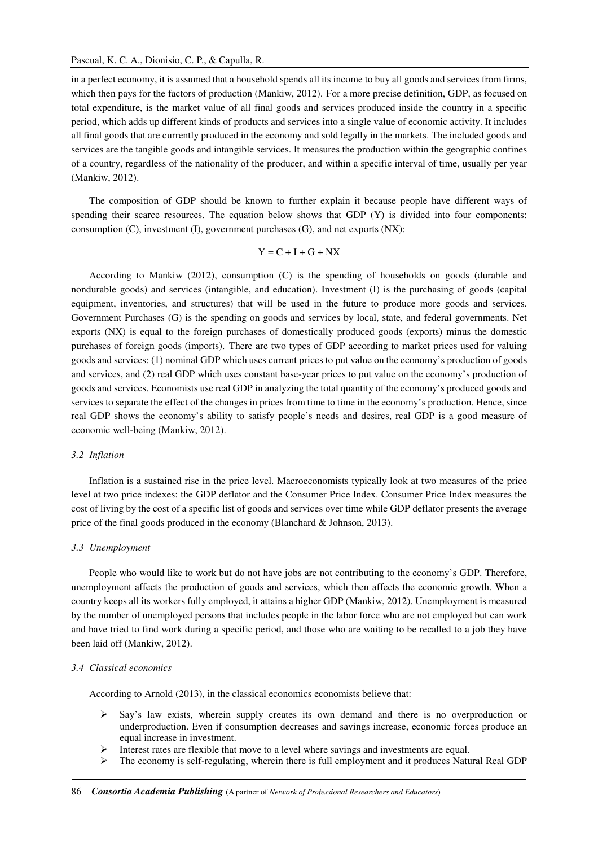in a perfect economy, it is assumed that a household spends all its income to buy all goods and services from firms, which then pays for the factors of production (Mankiw, 2012). For a more precise definition, GDP, as focused on total expenditure, is the market value of all final goods and services produced inside the country in a specific period, which adds up different kinds of products and services into a single value of economic activity. It includes all final goods that are currently produced in the economy and sold legally in the markets. The included goods and services are the tangible goods and intangible services. It measures the production within the geographic confines of a country, regardless of the nationality of the producer, and within a specific interval of time, usually per year (Mankiw, 2012).

The composition of GDP should be known to further explain it because people have different ways of spending their scarce resources. The equation below shows that GDP (Y) is divided into four components: consumption (C), investment (I), government purchases (G), and net exports (NX):

$$
Y = C + I + G + NX
$$

According to Mankiw (2012), consumption (C) is the spending of households on goods (durable and nondurable goods) and services (intangible, and education). Investment (I) is the purchasing of goods (capital equipment, inventories, and structures) that will be used in the future to produce more goods and services. Government Purchases (G) is the spending on goods and services by local, state, and federal governments. Net exports (NX) is equal to the foreign purchases of domestically produced goods (exports) minus the domestic purchases of foreign goods (imports). There are two types of GDP according to market prices used for valuing goods and services: (1) nominal GDP which uses current prices to put value on the economy's production of goods and services, and (2) real GDP which uses constant base-year prices to put value on the economy's production of goods and services. Economists use real GDP in analyzing the total quantity of the economy's produced goods and services to separate the effect of the changes in prices from time to time in the economy's production. Hence, since real GDP shows the economy's ability to satisfy people's needs and desires, real GDP is a good measure of economic well-being (Mankiw, 2012).

#### *3.2 Inflation*

Inflation is a sustained rise in the price level. Macroeconomists typically look at two measures of the price level at two price indexes: the GDP deflator and the Consumer Price Index. Consumer Price Index measures the cost of living by the cost of a specific list of goods and services over time while GDP deflator presents the average price of the final goods produced in the economy (Blanchard & Johnson, 2013).

#### *3.3 Unemployment*

People who would like to work but do not have jobs are not contributing to the economy's GDP. Therefore, unemployment affects the production of goods and services, which then affects the economic growth. When a country keeps all its workers fully employed, it attains a higher GDP (Mankiw, 2012). Unemployment is measured by the number of unemployed persons that includes people in the labor force who are not employed but can work and have tried to find work during a specific period, and those who are waiting to be recalled to a job they have been laid off (Mankiw, 2012).

#### *3.4 Classical economics*

According to Arnold (2013), in the classical economics economists believe that:

- $\triangleright$  Say's law exists, wherein supply creates its own demand and there is no overproduction or underproduction. Even if consumption decreases and savings increase, economic forces produce an equal increase in investment.
- Interest rates are flexible that move to a level where savings and investments are equal.
- $\triangleright$  The economy is self-regulating, wherein there is full employment and it produces Natural Real GDP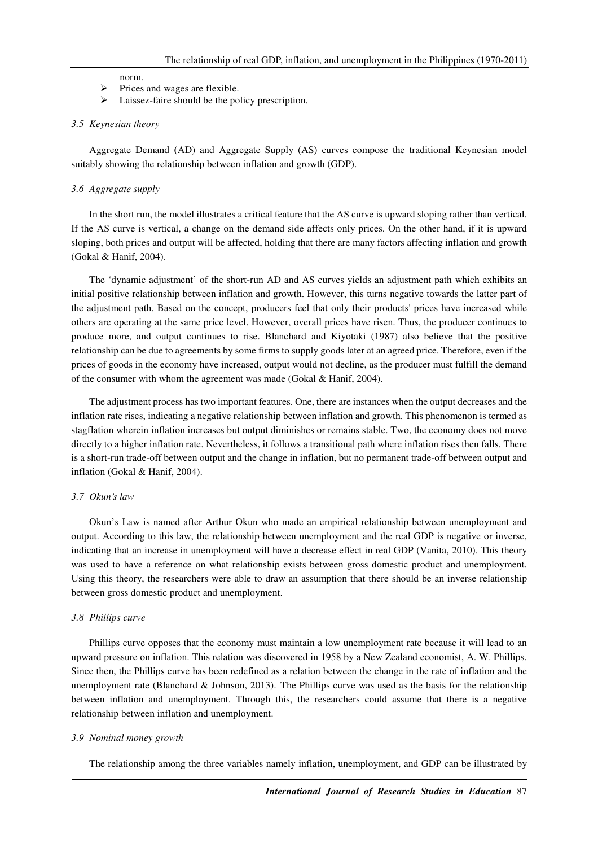#### norm.

- $\triangleright$  Prices and wages are flexible.
- $\triangleright$  Laissez-faire should be the policy prescription.

#### *3.5 Keynesian theory*

Aggregate Demand **(**AD) and Aggregate Supply (AS) curves compose the traditional Keynesian model suitably showing the relationship between inflation and growth (GDP).

#### *3.6 Aggregate supply*

In the short run, the model illustrates a critical feature that the AS curve is upward sloping rather than vertical. If the AS curve is vertical, a change on the demand side affects only prices. On the other hand, if it is upward sloping, both prices and output will be affected, holding that there are many factors affecting inflation and growth (Gokal & Hanif, 2004).

The 'dynamic adjustment' of the short-run AD and AS curves yields an adjustment path which exhibits an initial positive relationship between inflation and growth. However, this turns negative towards the latter part of the adjustment path. Based on the concept, producers feel that only their products' prices have increased while others are operating at the same price level. However, overall prices have risen. Thus, the producer continues to produce more, and output continues to rise. Blanchard and Kiyotaki (1987) also believe that the positive relationship can be due to agreements by some firms to supply goods later at an agreed price. Therefore, even if the prices of goods in the economy have increased, output would not decline, as the producer must fulfill the demand of the consumer with whom the agreement was made (Gokal & Hanif, 2004).

The adjustment process has two important features. One, there are instances when the output decreases and the inflation rate rises, indicating a negative relationship between inflation and growth. This phenomenon is termed as stagflation wherein inflation increases but output diminishes or remains stable. Two, the economy does not move directly to a higher inflation rate. Nevertheless, it follows a transitional path where inflation rises then falls. There is a short-run trade-off between output and the change in inflation, but no permanent trade-off between output and inflation (Gokal & Hanif, 2004).

#### *3.7 Okun's law*

Okun's Law is named after Arthur Okun who made an empirical relationship between unemployment and output. According to this law, the relationship between unemployment and the real GDP is negative or inverse, indicating that an increase in unemployment will have a decrease effect in real GDP (Vanita, 2010). This theory was used to have a reference on what relationship exists between gross domestic product and unemployment. Using this theory, the researchers were able to draw an assumption that there should be an inverse relationship between gross domestic product and unemployment.

#### *3.8 Phillips curve*

Phillips curve opposes that the economy must maintain a low unemployment rate because it will lead to an upward pressure on inflation. This relation was discovered in 1958 by a New Zealand economist, A. W. Phillips. Since then, the Phillips curve has been redefined as a relation between the change in the rate of inflation and the unemployment rate (Blanchard & Johnson, 2013). The Phillips curve was used as the basis for the relationship between inflation and unemployment. Through this, the researchers could assume that there is a negative relationship between inflation and unemployment.

#### *3.9 Nominal money growth*

The relationship among the three variables namely inflation, unemployment, and GDP can be illustrated by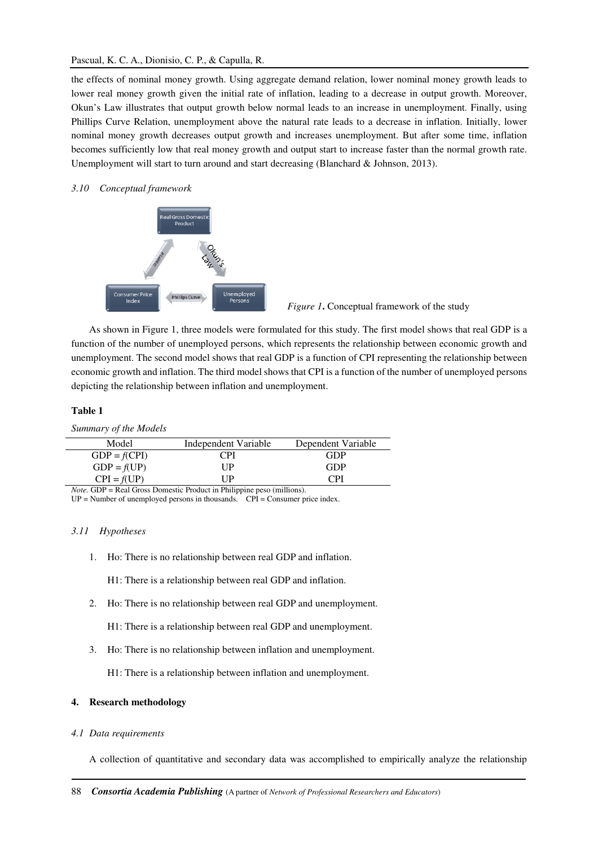# Pascual, K. C. A., Dionisio, C. P., & Capulla, R.

the effects of nominal money growth. Using aggregate demand relation, lower nominal money growth leads to lower real money growth given the initial rate of inflation, leading to a decrease in output growth. Moreover, Okun's Law illustrates that output growth below normal leads to an increase in unemployment. Finally, using Phillips Curve Relation, unemployment above the natural rate leads to a decrease in inflation. Initially, lower nominal money growth decreases output growth and increases unemployment. But after some time, inflation becomes sufficiently low that real money growth and output start to increase faster than the normal growth rate. Unemployment will start to turn around and start decreasing (Blanchard & Johnson, 2013).

# *3.10 Conceptual framework*



*Figure 1***.** Conceptual framework of the study

As shown in Figure 1, three models were formulated for this study. The first model shows that real GDP is a function of the number of unemployed persons, which represents the relationship between economic growth and unemployment. The second model shows that real GDP is a function of CPI representing the relationship between economic growth and inflation. The third model shows that CPI is a function of the number of unemployed persons depicting the relationship between inflation and unemployment.

# **Table 1**

*Summary of the Models* 

| Model          | Independent Variable | Dependent Variable |
|----------------|----------------------|--------------------|
| $GDP = f(CPI)$ | CPI                  | GDP                |
| $GDP = f(UP)$  | UР                   | GDP                |
| $CPI = f(UP)$  | I IP                 | <b>CPI</b>         |

*Note.* GDP = Real Gross Domestic Product in Philippine peso (millions).

 $UP =$  Number of unemployed persons in thousands.  $CPI =$  Consumer price index.

#### *3.11 Hypotheses*

1. Ho: There is no relationship between real GDP and inflation.

H1: There is a relationship between real GDP and inflation.

2. Ho: There is no relationship between real GDP and unemployment.

H1: There is a relationship between real GDP and unemployment.

3. Ho: There is no relationship between inflation and unemployment.

H1: There is a relationship between inflation and unemployment.

# **4. Research methodology**

#### *4.1 Data requirements*

A collection of quantitative and secondary data was accomplished to empirically analyze the relationship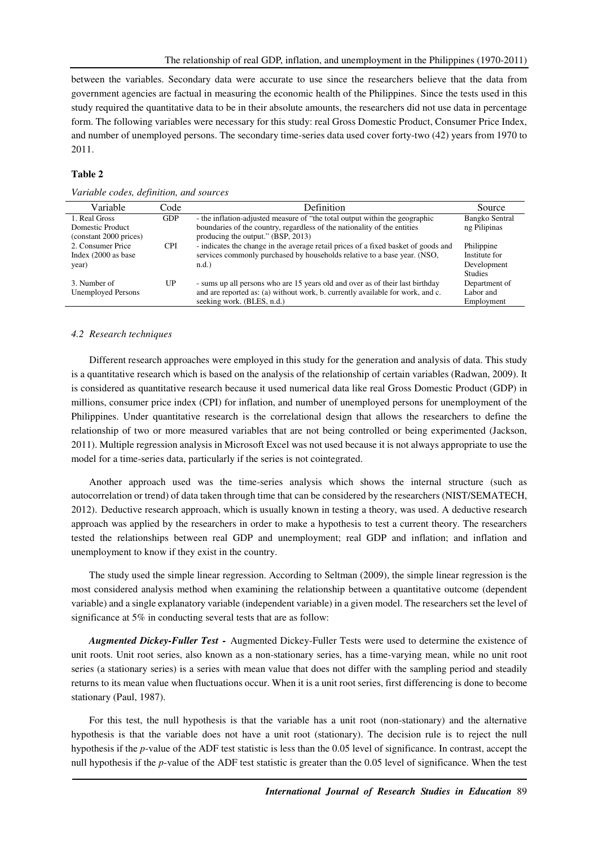between the variables. Secondary data were accurate to use since the researchers believe that the data from government agencies are factual in measuring the economic health of the Philippines. Since the tests used in this study required the quantitative data to be in their absolute amounts, the researchers did not use data in percentage form. The following variables were necessary for this study: real Gross Domestic Product, Consumer Price Index, and number of unemployed persons. The secondary time-series data used cover forty-two (42) years from 1970 to 2011.

# **Table 2**

|  |  |  | Variable codes, definition, and sources |
|--|--|--|-----------------------------------------|
|--|--|--|-----------------------------------------|

| Variable                  | Code       | Definition                                                                         | Source         |
|---------------------------|------------|------------------------------------------------------------------------------------|----------------|
| 1. Real Gross             | <b>GDP</b> | - the inflation-adjusted measure of "the total output within the geographic        | Bangko Sentral |
| Domestic Product          |            | boundaries of the country, regardless of the nationality of the entities           | ng Pilipinas   |
| (constant 2000 prices)    |            | producing the output." (BSP, 2013)                                                 |                |
| 2. Consumer Price         | <b>CPI</b> | - indicates the change in the average retail prices of a fixed basket of goods and | Philippine     |
| Index $(2000$ as base     |            | services commonly purchased by households relative to a base year. (NSO,           | Institute for  |
| year)                     |            | $n.d.$ )                                                                           | Development    |
|                           |            |                                                                                    | <b>Studies</b> |
| 3. Number of              | UP         | - sums up all persons who are 15 years old and over as of their last birthday      | Department of  |
| <b>Unemployed Persons</b> |            | and are reported as: (a) without work, b. currently available for work, and c.     | Labor and      |
|                           |            | seeking work. (BLES, n.d.)                                                         | Employment     |
|                           |            |                                                                                    |                |

# *4.2 Research techniques*

Different research approaches were employed in this study for the generation and analysis of data. This study is a quantitative research which is based on the analysis of the relationship of certain variables (Radwan, 2009). It is considered as quantitative research because it used numerical data like real Gross Domestic Product (GDP) in millions, consumer price index (CPI) for inflation, and number of unemployed persons for unemployment of the Philippines. Under quantitative research is the correlational design that allows the researchers to define the relationship of two or more measured variables that are not being controlled or being experimented (Jackson, 2011). Multiple regression analysis in Microsoft Excel was not used because it is not always appropriate to use the model for a time-series data, particularly if the series is not cointegrated.

Another approach used was the time-series analysis which shows the internal structure (such as autocorrelation or trend) of data taken through time that can be considered by the researchers (NIST/SEMATECH, 2012). Deductive research approach, which is usually known in testing a theory, was used. A deductive research approach was applied by the researchers in order to make a hypothesis to test a current theory. The researchers tested the relationships between real GDP and unemployment; real GDP and inflation; and inflation and unemployment to know if they exist in the country.

The study used the simple linear regression. According to Seltman (2009), the simple linear regression is the most considered analysis method when examining the relationship between a quantitative outcome (dependent variable) and a single explanatory variable (independent variable) in a given model. The researchers set the level of significance at 5% in conducting several tests that are as follow:

*Augmented Dickey-Fuller Test -* Augmented Dickey-Fuller Tests were used to determine the existence of unit roots. Unit root series, also known as a non-stationary series, has a time-varying mean, while no unit root series (a stationary series) is a series with mean value that does not differ with the sampling period and steadily returns to its mean value when fluctuations occur. When it is a unit root series, first differencing is done to become stationary (Paul, 1987).

For this test, the null hypothesis is that the variable has a unit root (non-stationary) and the alternative hypothesis is that the variable does not have a unit root (stationary). The decision rule is to reject the null hypothesis if the *p*-value of the ADF test statistic is less than the 0.05 level of significance. In contrast, accept the null hypothesis if the *p*-value of the ADF test statistic is greater than the 0.05 level of significance. When the test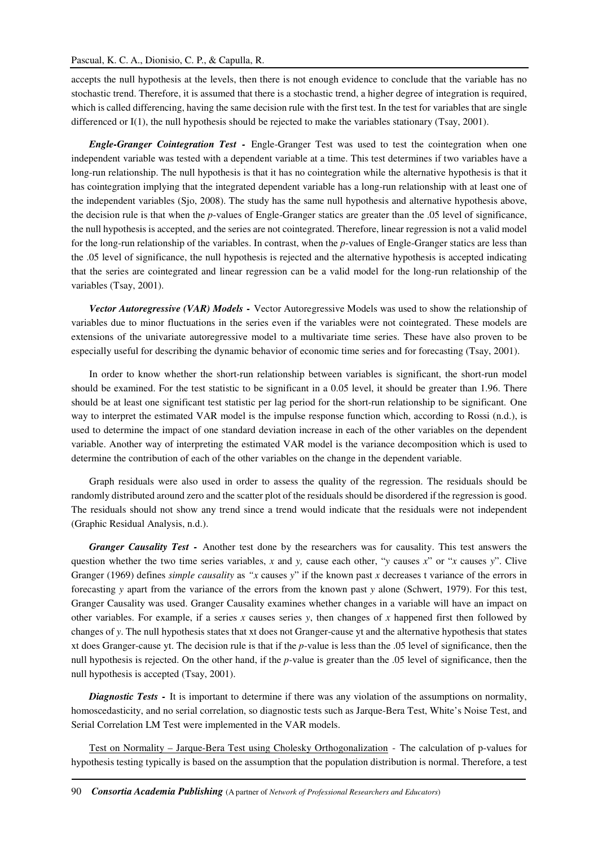# Pascual, K. C. A., Dionisio, C. P., & Capulla, R.

accepts the null hypothesis at the levels, then there is not enough evidence to conclude that the variable has no stochastic trend. Therefore, it is assumed that there is a stochastic trend, a higher degree of integration is required, which is called differencing, having the same decision rule with the first test. In the test for variables that are single differenced or I(1), the null hypothesis should be rejected to make the variables stationary (Tsay, 2001).

*Engle-Granger Cointegration Test -* Engle-Granger Test was used to test the cointegration when one independent variable was tested with a dependent variable at a time. This test determines if two variables have a long-run relationship. The null hypothesis is that it has no cointegration while the alternative hypothesis is that it has cointegration implying that the integrated dependent variable has a long-run relationship with at least one of the independent variables (Sjo, 2008). The study has the same null hypothesis and alternative hypothesis above, the decision rule is that when the *p*-values of Engle-Granger statics are greater than the .05 level of significance, the null hypothesis is accepted, and the series are not cointegrated. Therefore, linear regression is not a valid model for the long-run relationship of the variables. In contrast, when the *p*-values of Engle-Granger statics are less than the .05 level of significance, the null hypothesis is rejected and the alternative hypothesis is accepted indicating that the series are cointegrated and linear regression can be a valid model for the long-run relationship of the variables (Tsay, 2001).

*Vector Autoregressive (VAR) Models -* Vector Autoregressive Models was used to show the relationship of variables due to minor fluctuations in the series even if the variables were not cointegrated. These models are extensions of the univariate autoregressive model to a multivariate time series. These have also proven to be especially useful for describing the dynamic behavior of economic time series and for forecasting (Tsay, 2001).

In order to know whether the short-run relationship between variables is significant, the short-run model should be examined. For the test statistic to be significant in a 0.05 level, it should be greater than 1.96. There should be at least one significant test statistic per lag period for the short-run relationship to be significant. One way to interpret the estimated VAR model is the impulse response function which, according to Rossi (n.d.), is used to determine the impact of one standard deviation increase in each of the other variables on the dependent variable. Another way of interpreting the estimated VAR model is the variance decomposition which is used to determine the contribution of each of the other variables on the change in the dependent variable.

Graph residuals were also used in order to assess the quality of the regression. The residuals should be randomly distributed around zero and the scatter plot of the residuals should be disordered if the regression is good. The residuals should not show any trend since a trend would indicate that the residuals were not independent (Graphic Residual Analysis, n.d.).

*Granger Causality Test -* Another test done by the researchers was for causality. This test answers the question whether the two time series variables, *x* and *y,* cause each other, "*y* causes *x*" or "*x* causes *y*". Clive Granger (1969) defines *simple causality* as *"x* causes *y*" if the known past *x* decreases t variance of the errors in forecasting *y* apart from the variance of the errors from the known past *y* alone (Schwert, 1979). For this test, Granger Causality was used. Granger Causality examines whether changes in a variable will have an impact on other variables. For example, if a series *x* causes series *y*, then changes of *x* happened first then followed by changes of *y*. The null hypothesis states that xt does not Granger-cause yt and the alternative hypothesis that states xt does Granger-cause yt. The decision rule is that if the *p*-value is less than the .05 level of significance, then the null hypothesis is rejected. On the other hand, if the *p-*value is greater than the .05 level of significance, then the null hypothesis is accepted (Tsay, 2001).

*Diagnostic Tests -* It is important to determine if there was any violation of the assumptions on normality, homoscedasticity, and no serial correlation, so diagnostic tests such as Jarque-Bera Test, White's Noise Test, and Serial Correlation LM Test were implemented in the VAR models.

Test on Normality – Jarque-Bera Test using Cholesky Orthogonalization - The calculation of p-values for hypothesis testing typically is based on the assumption that the population distribution is normal. Therefore, a test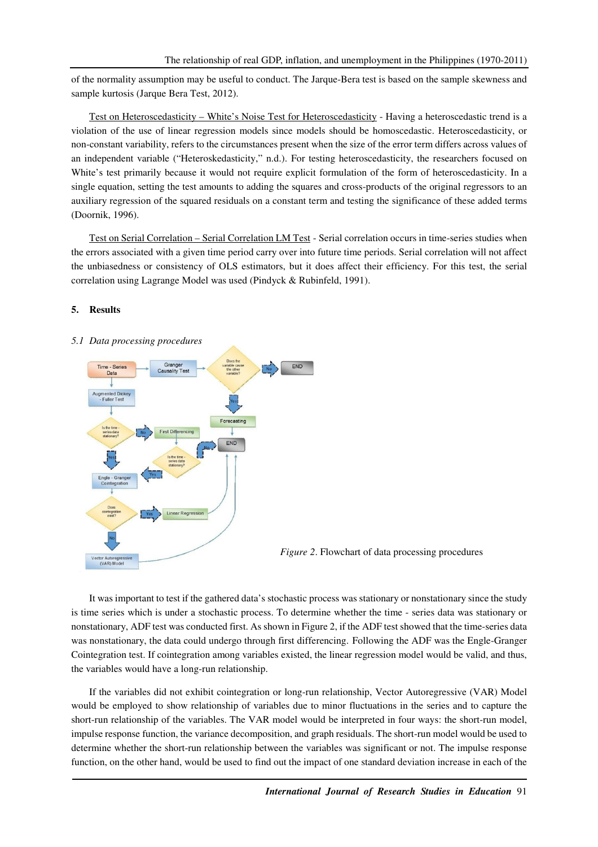of the normality assumption may be useful to conduct. The Jarque-Bera test is based on the sample skewness and sample kurtosis (Jarque Bera Test, 2012).

Test on Heteroscedasticity – White's Noise Test for Heteroscedasticity - Having a heteroscedastic trend is a violation of the use of linear regression models since models should be homoscedastic. Heteroscedasticity, or non-constant variability, refers to the circumstances present when the size of the error term differs across values of an independent variable ("Heteroskedasticity," n.d.). For testing heteroscedasticity, the researchers focused on White's test primarily because it would not require explicit formulation of the form of heteroscedasticity. In a single equation, setting the test amounts to adding the squares and cross-products of the original regressors to an auxiliary regression of the squared residuals on a constant term and testing the significance of these added terms (Doornik, 1996).

Test on Serial Correlation – Serial Correlation LM Test - Serial correlation occurs in time-series studies when the errors associated with a given time period carry over into future time periods. Serial correlation will not affect the unbiasedness or consistency of OLS estimators, but it does affect their efficiency. For this test, the serial correlation using Lagrange Model was used (Pindyck & Rubinfeld, 1991).

#### **5. Results**

# *5.1 Data processing procedures*





It was important to test if the gathered data's stochastic process was stationary or nonstationary since the study is time series which is under a stochastic process. To determine whether the time - series data was stationary or nonstationary, ADF test was conducted first. As shown in Figure 2, if the ADF test showed that the time-series data was nonstationary, the data could undergo through first differencing. Following the ADF was the Engle-Granger Cointegration test. If cointegration among variables existed, the linear regression model would be valid, and thus, the variables would have a long-run relationship.

If the variables did not exhibit cointegration or long-run relationship, Vector Autoregressive (VAR) Model would be employed to show relationship of variables due to minor fluctuations in the series and to capture the short-run relationship of the variables. The VAR model would be interpreted in four ways: the short-run model, impulse response function, the variance decomposition, and graph residuals. The short-run model would be used to determine whether the short-run relationship between the variables was significant or not. The impulse response function, on the other hand, would be used to find out the impact of one standard deviation increase in each of the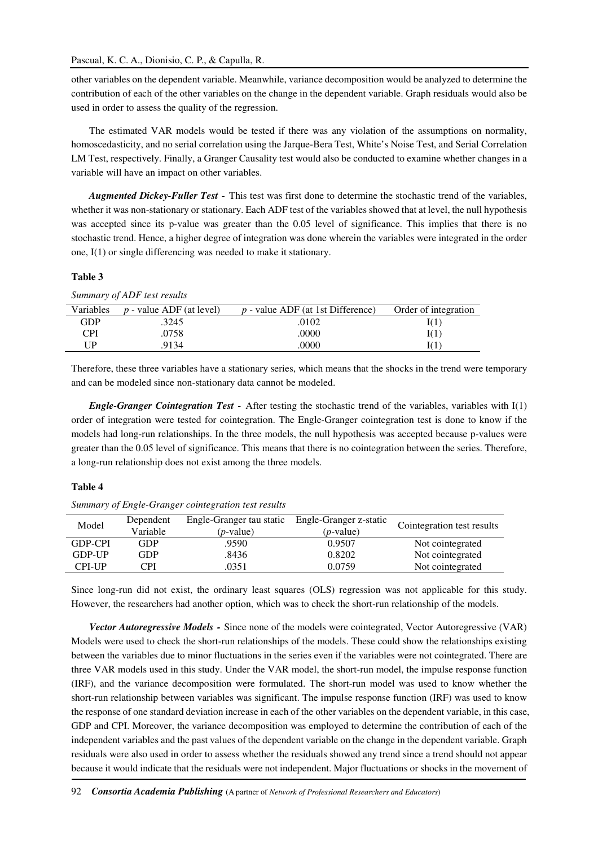other variables on the dependent variable. Meanwhile, variance decomposition would be analyzed to determine the contribution of each of the other variables on the change in the dependent variable. Graph residuals would also be used in order to assess the quality of the regression.

The estimated VAR models would be tested if there was any violation of the assumptions on normality, homoscedasticity, and no serial correlation using the Jarque-Bera Test, White's Noise Test, and Serial Correlation LM Test, respectively. Finally, a Granger Causality test would also be conducted to examine whether changes in a variable will have an impact on other variables.

*Augmented Dickey-Fuller Test -* This test was first done to determine the stochastic trend of the variables, whether it was non-stationary or stationary. Each ADF test of the variables showed that at level, the null hypothesis was accepted since its p-value was greater than the 0.05 level of significance. This implies that there is no stochastic trend. Hence, a higher degree of integration was done wherein the variables were integrated in the order one, I(1) or single differencing was needed to make it stationary.

# **Table 3**

*Summary of ADF test results* 

| Variables | $p$ - value ADF (at level) | $p$ - value ADF (at 1st Difference) | Order of integration |
|-----------|----------------------------|-------------------------------------|----------------------|
| GDP       | 3245                       | .0102                               | I(1)                 |
| CPI       | .0758                      | .0000                               | I(1)                 |
| ΠP        | .9134                      | .0000                               | I(1                  |
|           |                            |                                     |                      |

Therefore, these three variables have a stationary series, which means that the shocks in the trend were temporary and can be modeled since non-stationary data cannot be modeled.

*Engle-Granger Cointegration Test -* After testing the stochastic trend of the variables, variables with I(1) order of integration were tested for cointegration. The Engle-Granger cointegration test is done to know if the models had long-run relationships. In the three models, the null hypothesis was accepted because p-values were greater than the 0.05 level of significance. This means that there is no cointegration between the series. Therefore, a long-run relationship does not exist among the three models.

#### **Table 4**

*Summary of Engle-Granger cointegration test results*

| Model         | Dependent<br>Variable | Engle-Granger tau static<br>( <i>p</i> -value) | Engle-Granger z-static<br>( <i>p</i> -value) | Cointegration test results |
|---------------|-----------------------|------------------------------------------------|----------------------------------------------|----------------------------|
| GDP-CPI       | GDP                   | .9590                                          | 0.9507                                       | Not cointegrated           |
| <b>GDP-UP</b> | GDP                   | .8436                                          | 0.8202                                       | Not cointegrated           |
| CPI-UP        | CPI                   | .0351                                          | 0.0759                                       | Not cointegrated           |

Since long-run did not exist, the ordinary least squares (OLS) regression was not applicable for this study. However, the researchers had another option, which was to check the short-run relationship of the models.

*Vector Autoregressive Models -* Since none of the models were cointegrated, Vector Autoregressive (VAR) Models were used to check the short-run relationships of the models. These could show the relationships existing between the variables due to minor fluctuations in the series even if the variables were not cointegrated. There are three VAR models used in this study. Under the VAR model, the short-run model, the impulse response function (IRF), and the variance decomposition were formulated. The short-run model was used to know whether the short-run relationship between variables was significant. The impulse response function (IRF) was used to know the response of one standard deviation increase in each of the other variables on the dependent variable, in this case, GDP and CPI. Moreover, the variance decomposition was employed to determine the contribution of each of the independent variables and the past values of the dependent variable on the change in the dependent variable. Graph residuals were also used in order to assess whether the residuals showed any trend since a trend should not appear because it would indicate that the residuals were not independent. Major fluctuations or shocks in the movement of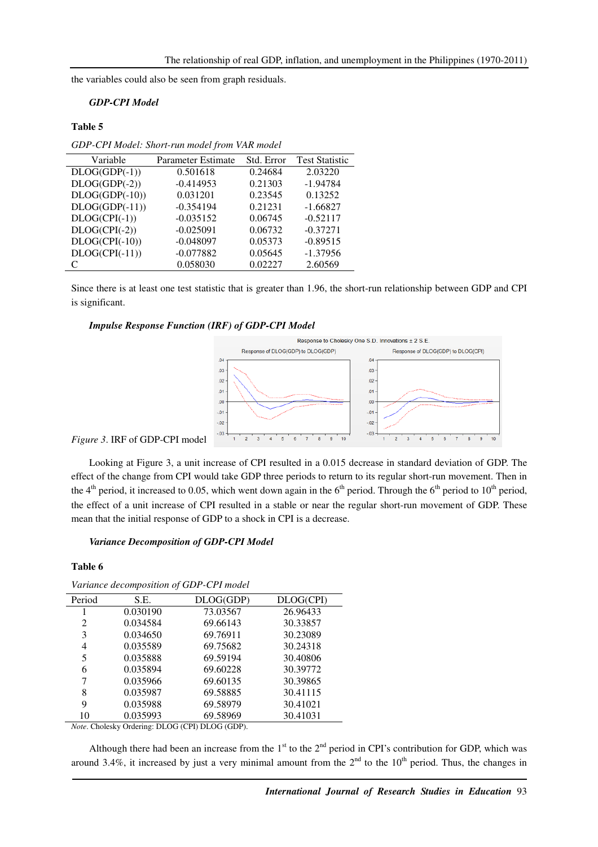the variables could also be seen from graph residuals.

# *GDP-CPI Model*

### **Table 5**

*GDP-CPI Model: Short-run model from VAR model* 

| Variable         | Parameter Estimate | Std. Error | <b>Test Statistic</b> |
|------------------|--------------------|------------|-----------------------|
| $DLOG(GDP(-1))$  | 0.501618           | 0.24684    | 2.03220               |
| $DLOG(GDP(-2))$  | $-0.414953$        | 0.21303    | $-1.94784$            |
| $DLOG(GDP(-10))$ | 0.031201           | 0.23545    | 0.13252               |
| $DLOG(GDP(-11))$ | $-0.354194$        | 0.21231    | $-1.66827$            |
| $DLOG(CPI(-1))$  | $-0.035152$        | 0.06745    | $-0.52117$            |
| $DLOG(CPI(-2))$  | $-0.025091$        | 0.06732    | $-0.37271$            |
| $DLOG(CPI(-10))$ | $-0.048097$        | 0.05373    | $-0.89515$            |
| $DLOG(CPI(-11))$ | $-0.077882$        | 0.05645    | $-1.37956$            |
|                  | 0.058030           | 0.02227    | 2.60569               |

Since there is at least one test statistic that is greater than 1.96, the short-run relationship between GDP and CPI is significant.

#### *Impulse Response Function (IRF) of GDP-CPI Model*



*Figure 3*. IRF of GDP-CPI model

Looking at Figure 3, a unit increase of CPI resulted in a 0.015 decrease in standard deviation of GDP. The effect of the change from CPI would take GDP three periods to return to its regular short-run movement. Then in the 4<sup>th</sup> period, it increased to 0.05, which went down again in the 6<sup>th</sup> period. Through the 6<sup>th</sup> period to 10<sup>th</sup> period, the effect of a unit increase of CPI resulted in a stable or near the regular short-run movement of GDP. These mean that the initial response of GDP to a shock in CPI is a decrease.

#### *Variance Decomposition of GDP-CPI Model*

#### **Table 6**

| Period | S.E.     | DLOG(GDP) | DLOG(CPI) |
|--------|----------|-----------|-----------|
|        | 0.030190 | 73.03567  | 26.96433  |
| 2      | 0.034584 | 69.66143  | 30.33857  |
| 3      | 0.034650 | 69.76911  | 30.23089  |
| 4      | 0.035589 | 69.75682  | 30.24318  |
| 5      | 0.035888 | 69.59194  | 30.40806  |
| 6      | 0.035894 | 69.60228  | 30.39772  |
| 7      | 0.035966 | 69.60135  | 30.39865  |
| 8      | 0.035987 | 69.58885  | 30.41115  |
| 9      | 0.035988 | 69.58979  | 30.41021  |
| 10     | 0.035993 | 69.58969  | 30.41031  |

*Note*. Cholesky Ordering: DLOG (CPI) DLOG (GDP).

Although there had been an increase from the  $1<sup>st</sup>$  to the  $2<sup>nd</sup>$  period in CPI's contribution for GDP, which was around 3.4%, it increased by just a very minimal amount from the  $2<sup>nd</sup>$  to the 10<sup>th</sup> period. Thus, the changes in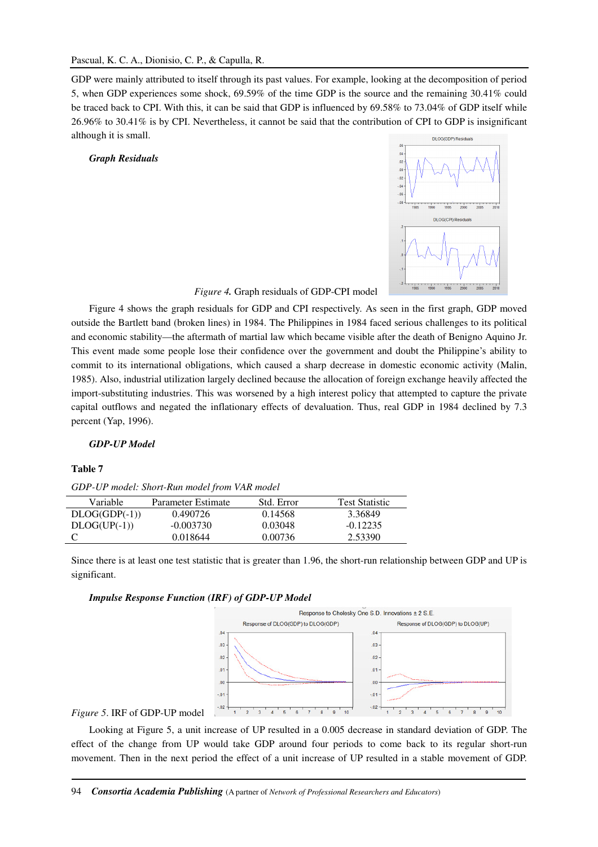GDP were mainly attributed to itself through its past values. For example, looking at the decomposition of period 5, when GDP experiences some shock, 69.59% of the time GDP is the source and the remaining 30.41% could be traced back to CPI. With this, it can be said that GDP is influenced by 69.58% to 73.04% of GDP itself while 26.96% to 30.41% is by CPI. Nevertheless, it cannot be said that the contribution of CPI to GDP is insignificant although it is small. DLOG(GDP) Residua

# *Graph Residuals*



*Figure 4.* Graph residuals of GDP-CPI model

Figure 4 shows the graph residuals for GDP and CPI respectively. As seen in the first graph, GDP moved outside the Bartlett band (broken lines) in 1984. The Philippines in 1984 faced serious challenges to its political and economic stability—the aftermath of martial law which became visible after the death of Benigno Aquino Jr. This event made some people lose their confidence over the government and doubt the Philippine's ability to commit to its international obligations, which caused a sharp decrease in domestic economic activity (Malin, 1985). Also, industrial utilization largely declined because the allocation of foreign exchange heavily affected the import-substituting industries. This was worsened by a high interest policy that attempted to capture the private capital outflows and negated the inflationary effects of devaluation. Thus, real GDP in 1984 declined by 7.3 percent (Yap, 1996).

# *GDP-UP Model*

#### **Table 7**

*GDP-UP model: Short-Run model from VAR model* 

| <b>Variable</b> | Parameter Estimate | Std. Error | <b>Test Statistic</b> |
|-----------------|--------------------|------------|-----------------------|
| $DLOG(GDP(-1))$ | 0.490726           | 0.14568    | 3.36849               |
| $DLOG(UP(-1))$  | $-0.003730$        | 0.03048    | $-0.12235$            |
|                 | 0.018644           | 0.00736    | 2.53390               |

Since there is at least one test statistic that is greater than 1.96, the short-run relationship between GDP and UP is significant.

#### *Impulse Response Function (IRF) of GDP-UP Model*



# *Figure 5*. IRF of GDP-UP model

Looking at Figure 5, a unit increase of UP resulted in a 0.005 decrease in standard deviation of GDP. The effect of the change from UP would take GDP around four periods to come back to its regular short-run movement. Then in the next period the effect of a unit increase of UP resulted in a stable movement of GDP.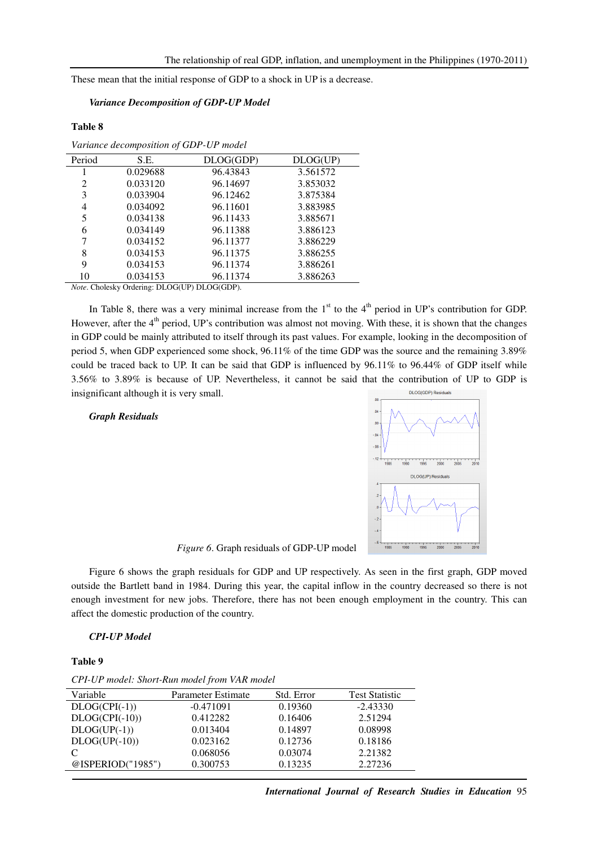These mean that the initial response of GDP to a shock in UP is a decrease.

# *Variance Decomposition of GDP-UP Model*

#### **Table 8**

| Variance decomposition of GDP-UP model                                                                                           |          |           |          |
|----------------------------------------------------------------------------------------------------------------------------------|----------|-----------|----------|
| Period                                                                                                                           | S.E.     | DLOG(GDP) | DLOG(UP) |
|                                                                                                                                  | 0.029688 | 96.43843  | 3.561572 |
| 2                                                                                                                                | 0.033120 | 96.14697  | 3.853032 |
| 3                                                                                                                                | 0.033904 | 96.12462  | 3.875384 |
| 4                                                                                                                                | 0.034092 | 96.11601  | 3.883985 |
| 5                                                                                                                                | 0.034138 | 96.11433  | 3.885671 |
| 6                                                                                                                                | 0.034149 | 96.11388  | 3.886123 |
| 7                                                                                                                                | 0.034152 | 96.11377  | 3.886229 |
| 8                                                                                                                                | 0.034153 | 96.11375  | 3.886255 |
| 9                                                                                                                                | 0.034153 | 96.11374  | 3.886261 |
| 10                                                                                                                               | 0.034153 | 96.11374  | 3.886263 |
| $\alpha$ $\alpha$ $\alpha$<br>$\mathbb{R}^n$ $\wedge$ $\wedge$ $\mathbb{R}^n$ $\wedge$ $\wedge$ $\wedge$ $\wedge$ $\mathbb{R}^n$ |          |           |          |

*Note*. Cholesky Ordering: DLOG(UP) DLOG(GDP).

In Table 8, there was a very minimal increase from the  $1<sup>st</sup>$  to the  $4<sup>th</sup>$  period in UP's contribution for GDP. However, after the  $4<sup>th</sup>$  period, UP's contribution was almost not moving. With these, it is shown that the changes in GDP could be mainly attributed to itself through its past values. For example, looking in the decomposition of period 5, when GDP experienced some shock, 96.11% of the time GDP was the source and the remaining 3.89% could be traced back to UP. It can be said that GDP is influenced by 96.11% to 96.44% of GDP itself while 3.56% to 3.89% is because of UP. Nevertheless, it cannot be said that the contribution of UP to GDP is insignificant although it is very small. DLOG(GDP) Resid

#### *Graph Residuals*



*Figure 6*. Graph residuals of GDP-UP model

Figure 6 shows the graph residuals for GDP and UP respectively. As seen in the first graph, GDP moved outside the Bartlett band in 1984. During this year, the capital inflow in the country decreased so there is not enough investment for new jobs. Therefore, there has not been enough employment in the country. This can affect the domestic production of the country.

# *CPI-UP Model*

#### **Table 9**

*CPI-UP model: Short-Run model from VAR model* 

| Variable          | Parameter Estimate | Std. Error | <b>Test Statistic</b> |
|-------------------|--------------------|------------|-----------------------|
| $DLOG(CPI(-1))$   | $-0.471091$        | 0.19360    | $-2.43330$            |
| $DLOG(CPI(-10))$  | 0.412282           | 0.16406    | 2.51294               |
| $DLOG(UP(-1))$    | 0.013404           | 0.14897    | 0.08998               |
| $DLOG(UP(-10))$   | 0.023162           | 0.12736    | 0.18186               |
| C                 | 0.068056           | 0.03074    | 2.21382               |
| @ISPERIOD("1985") | 0.300753           | 0.13235    | 2.27236               |
|                   |                    |            |                       |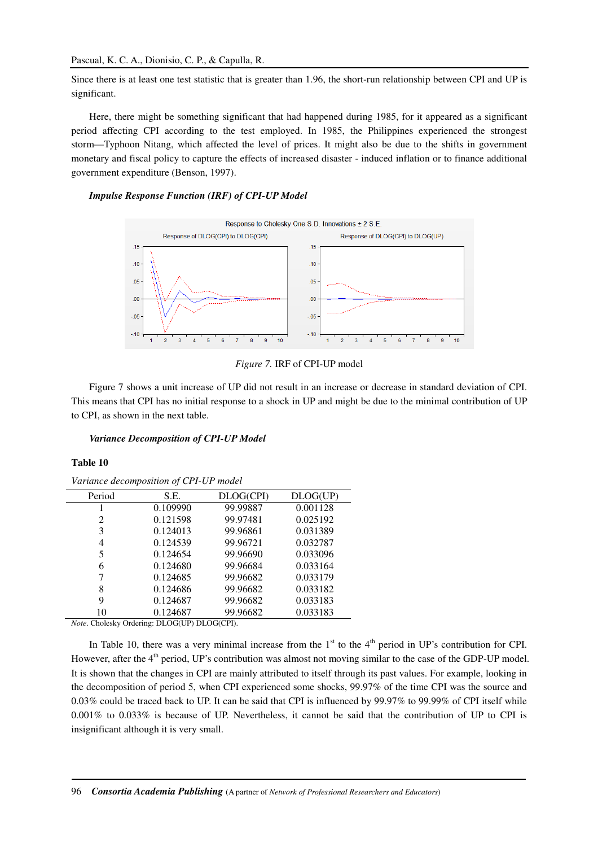Since there is at least one test statistic that is greater than 1.96, the short-run relationship between CPI and UP is significant.

Here, there might be something significant that had happened during 1985, for it appeared as a significant period affecting CPI according to the test employed. In 1985, the Philippines experienced the strongest storm—Typhoon Nitang, which affected the level of prices. It might also be due to the shifts in government monetary and fiscal policy to capture the effects of increased disaster - induced inflation or to finance additional government expenditure (Benson, 1997).

# *Impulse Response Function (IRF) of CPI-UP Model*



*Figure 7.* IRF of CPI-UP model

Figure 7 shows a unit increase of UP did not result in an increase or decrease in standard deviation of CPI. This means that CPI has no initial response to a shock in UP and might be due to the minimal contribution of UP to CPI, as shown in the next table.

# *Variance Decomposition of CPI-UP Model*

#### **Table 10**

*Variance decomposition of CPI-UP model* 

| $\ldots$ . $\ldots$ . $\ldots$ . $\ldots$ . $\ldots$ . $\ldots$ . $\ldots$ . $\ldots$ . |          |           |          |
|-----------------------------------------------------------------------------------------|----------|-----------|----------|
| Period                                                                                  | S.E.     | DLOG(CPI) | DLOG(UP) |
|                                                                                         | 0.109990 | 99.99887  | 0.001128 |
| 2                                                                                       | 0.121598 | 99.97481  | 0.025192 |
| 3                                                                                       | 0.124013 | 99.96861  | 0.031389 |
| 4                                                                                       | 0.124539 | 99.96721  | 0.032787 |
|                                                                                         | 0.124654 | 99.96690  | 0.033096 |
| 6                                                                                       | 0.124680 | 99.96684  | 0.033164 |
|                                                                                         | 0.124685 | 99.96682  | 0.033179 |
| 8                                                                                       | 0.124686 | 99.96682  | 0.033182 |
| 9                                                                                       | 0.124687 | 99.96682  | 0.033183 |
| 10                                                                                      | 0.124687 | 99.96682  | 0.033183 |

*Note*. Cholesky Ordering: DLOG(UP) DLOG(CPI).

In Table 10, there was a very minimal increase from the  $1<sup>st</sup>$  to the  $4<sup>th</sup>$  period in UP's contribution for CPI. However, after the 4<sup>th</sup> period, UP's contribution was almost not moving similar to the case of the GDP-UP model. It is shown that the changes in CPI are mainly attributed to itself through its past values. For example, looking in the decomposition of period 5, when CPI experienced some shocks, 99.97% of the time CPI was the source and 0.03% could be traced back to UP. It can be said that CPI is influenced by 99.97% to 99.99% of CPI itself while 0.001% to 0.033% is because of UP. Nevertheless, it cannot be said that the contribution of UP to CPI is insignificant although it is very small.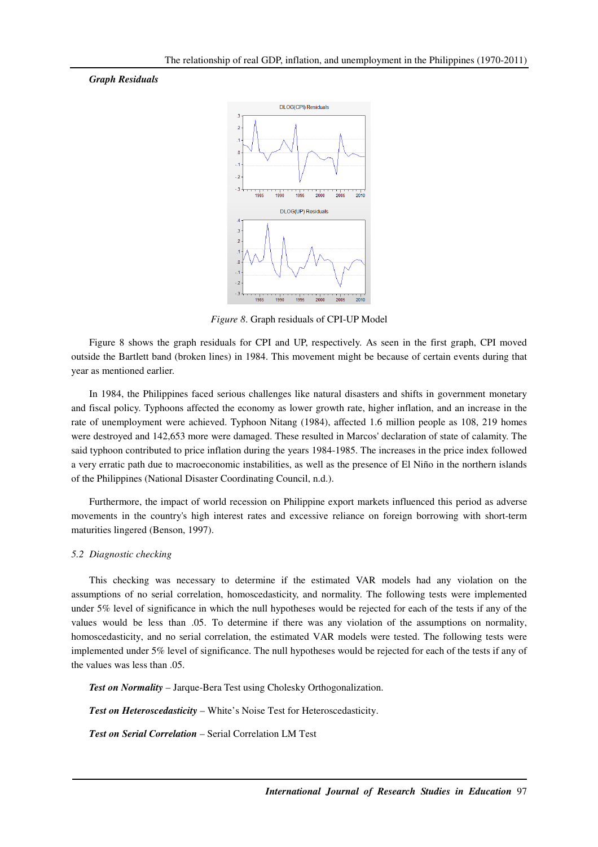# *Graph Residuals*



*Figure 8*. Graph residuals of CPI-UP Model

Figure 8 shows the graph residuals for CPI and UP, respectively. As seen in the first graph, CPI moved outside the Bartlett band (broken lines) in 1984. This movement might be because of certain events during that year as mentioned earlier.

In 1984, the Philippines faced serious challenges like natural disasters and shifts in government monetary and fiscal policy. Typhoons affected the economy as lower growth rate, higher inflation, and an increase in the rate of unemployment were achieved. Typhoon Nitang (1984), affected 1.6 million people as 108, 219 homes were destroyed and 142,653 more were damaged. These resulted in Marcos' declaration of state of calamity. The said typhoon contributed to price inflation during the years 1984-1985. The increases in the price index followed a very erratic path due to macroeconomic instabilities, as well as the presence of El Niño in the northern islands of the Philippines (National Disaster Coordinating Council, n.d.).

Furthermore, the impact of world recession on Philippine export markets influenced this period as adverse movements in the country's high interest rates and excessive reliance on foreign borrowing with short-term maturities lingered (Benson, 1997).

#### *5.2 Diagnostic checking*

This checking was necessary to determine if the estimated VAR models had any violation on the assumptions of no serial correlation, homoscedasticity, and normality. The following tests were implemented under 5% level of significance in which the null hypotheses would be rejected for each of the tests if any of the values would be less than .05. To determine if there was any violation of the assumptions on normality, homoscedasticity, and no serial correlation, the estimated VAR models were tested. The following tests were implemented under 5% level of significance. The null hypotheses would be rejected for each of the tests if any of the values was less than .05.

*Test on Normality* – Jarque-Bera Test using Cholesky Orthogonalization.

*Test on Heteroscedasticity* – White's Noise Test for Heteroscedasticity.

*Test on Serial Correlation* – Serial Correlation LM Test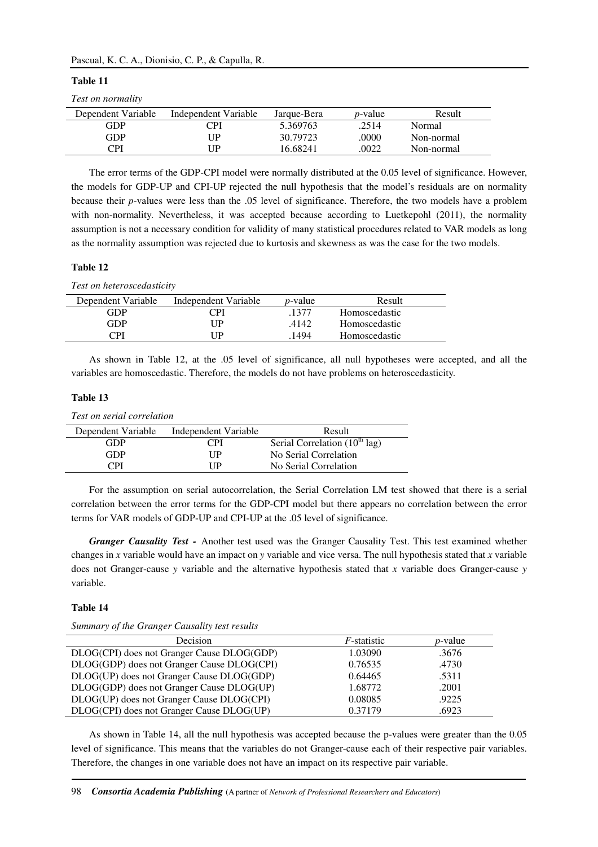| `able |
|-------|
|-------|

#### *Test on normality*

| Dependent Variable | Independent Variable | Jarque-Bera | <i>p</i> -value | Result     |
|--------------------|----------------------|-------------|-----------------|------------|
| GDP                | PI                   | 5.369763    | .2514           | Normal     |
| GDP                | ΊP                   | 30.79723    | .0000           | Non-normal |
| CPI                | ΊP                   | 16.68241    | .0022           | Non-normal |

The error terms of the GDP-CPI model were normally distributed at the 0.05 level of significance. However, the models for GDP-UP and CPI-UP rejected the null hypothesis that the model's residuals are on normality because their *p*-values were less than the .05 level of significance. Therefore, the two models have a problem with non-normality. Nevertheless, it was accepted because according to Luetkepohl (2011), the normality assumption is not a necessary condition for validity of many statistical procedures related to VAR models as long as the normality assumption was rejected due to kurtosis and skewness as was the case for the two models.

# **Table 12**

*Test on heteroscedasticity* 

| Dependent Variable | Independent Variable | <i>p</i> -value | Result        |  |
|--------------------|----------------------|-----------------|---------------|--|
| GDP                | $\gamma_{\rm PI}$    | 1377            | Homoscedastic |  |
| GDP                | ПP                   | .4142           | Homoscedastic |  |
| CPI                | ПP                   | 1494            | Homoscedastic |  |
|                    |                      |                 |               |  |

As shown in Table 12, at the .05 level of significance, all null hypotheses were accepted, and all the variables are homoscedastic. Therefore, the models do not have problems on heteroscedasticity.

# **Table 13**

*Test on serial correlation* 

| Dependent Variable | Independent Variable | Result                             |
|--------------------|----------------------|------------------------------------|
| GDP                | CPI                  | Serial Correlation $(10^{th}$ lag) |
| GDP                | I IP                 | No Serial Correlation              |
| וסי                | I IP                 | No Serial Correlation              |

For the assumption on serial autocorrelation, the Serial Correlation LM test showed that there is a serial correlation between the error terms for the GDP-CPI model but there appears no correlation between the error terms for VAR models of GDP-UP and CPI-UP at the .05 level of significance.

*Granger Causality Test -* Another test used was the Granger Causality Test. This test examined whether changes in *x* variable would have an impact on *y* variable and vice versa. The null hypothesis stated that *x* variable does not Granger-cause *y* variable and the alternative hypothesis stated that *x* variable does Granger-cause *y* variable.

#### **Table 14**

| Summary of the Granger Causality test results |  |
|-----------------------------------------------|--|
|-----------------------------------------------|--|

| <b>Decision</b>                            | <i>F</i> -statistic | <i>p</i> -value |
|--------------------------------------------|---------------------|-----------------|
| DLOG(CPI) does not Granger Cause DLOG(GDP) | 1.03090             | .3676           |
| DLOG(GDP) does not Granger Cause DLOG(CPI) | 0.76535             | .4730           |
| DLOG(UP) does not Granger Cause DLOG(GDP)  | 0.64465             | .5311           |
| DLOG(GDP) does not Granger Cause DLOG(UP)  | 1.68772             | .2001           |
| DLOG(UP) does not Granger Cause DLOG(CPI)  | 0.08085             | .9225           |
| DLOG(CPI) does not Granger Cause DLOG(UP)  | 0.37179             | .6923           |

As shown in Table 14, all the null hypothesis was accepted because the p-values were greater than the 0.05 level of significance. This means that the variables do not Granger-cause each of their respective pair variables. Therefore, the changes in one variable does not have an impact on its respective pair variable.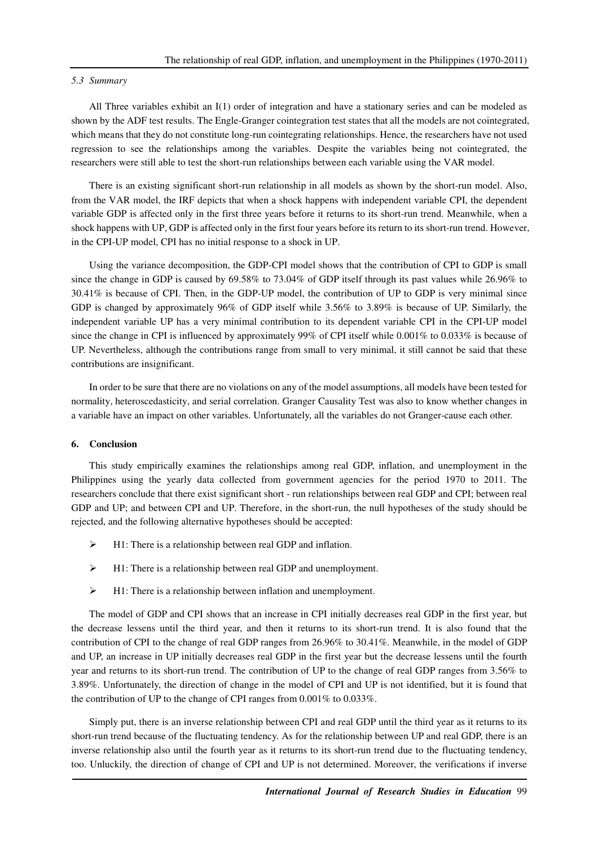#### *5.3 Summary*

All Three variables exhibit an I(1) order of integration and have a stationary series and can be modeled as shown by the ADF test results. The Engle-Granger cointegration test states that all the models are not cointegrated, which means that they do not constitute long-run cointegrating relationships. Hence, the researchers have not used regression to see the relationships among the variables. Despite the variables being not cointegrated, the researchers were still able to test the short-run relationships between each variable using the VAR model.

There is an existing significant short-run relationship in all models as shown by the short-run model. Also, from the VAR model, the IRF depicts that when a shock happens with independent variable CPI, the dependent variable GDP is affected only in the first three years before it returns to its short-run trend. Meanwhile, when a shock happens with UP, GDP is affected only in the first four years before its return to its short-run trend. However, in the CPI-UP model, CPI has no initial response to a shock in UP.

Using the variance decomposition, the GDP-CPI model shows that the contribution of CPI to GDP is small since the change in GDP is caused by 69.58% to 73.04% of GDP itself through its past values while 26.96% to 30.41% is because of CPI. Then, in the GDP-UP model, the contribution of UP to GDP is very minimal since GDP is changed by approximately 96% of GDP itself while 3.56% to 3.89% is because of UP. Similarly, the independent variable UP has a very minimal contribution to its dependent variable CPI in the CPI-UP model since the change in CPI is influenced by approximately 99% of CPI itself while 0.001% to 0.033% is because of UP. Nevertheless, although the contributions range from small to very minimal, it still cannot be said that these contributions are insignificant.

In order to be sure that there are no violations on any of the model assumptions, all models have been tested for normality, heteroscedasticity, and serial correlation. Granger Causality Test was also to know whether changes in a variable have an impact on other variables. Unfortunately, all the variables do not Granger-cause each other.

#### **6. Conclusion**

This study empirically examines the relationships among real GDP, inflation, and unemployment in the Philippines using the yearly data collected from government agencies for the period 1970 to 2011. The researchers conclude that there exist significant short - run relationships between real GDP and CPI; between real GDP and UP; and between CPI and UP. Therefore, in the short-run, the null hypotheses of the study should be rejected, and the following alternative hypotheses should be accepted:

- $\triangleright$  H1: There is a relationship between real GDP and inflation.
- $\triangleright$  H1: There is a relationship between real GDP and unemployment.
- $\triangleright$  H1: There is a relationship between inflation and unemployment.

The model of GDP and CPI shows that an increase in CPI initially decreases real GDP in the first year, but the decrease lessens until the third year, and then it returns to its short-run trend. It is also found that the contribution of CPI to the change of real GDP ranges from 26.96% to 30.41%. Meanwhile, in the model of GDP and UP, an increase in UP initially decreases real GDP in the first year but the decrease lessens until the fourth year and returns to its short-run trend. The contribution of UP to the change of real GDP ranges from 3.56% to 3.89%. Unfortunately, the direction of change in the model of CPI and UP is not identified, but it is found that the contribution of UP to the change of CPI ranges from 0.001% to 0.033%.

Simply put, there is an inverse relationship between CPI and real GDP until the third year as it returns to its short-run trend because of the fluctuating tendency. As for the relationship between UP and real GDP, there is an inverse relationship also until the fourth year as it returns to its short-run trend due to the fluctuating tendency, too. Unluckily, the direction of change of CPI and UP is not determined. Moreover, the verifications if inverse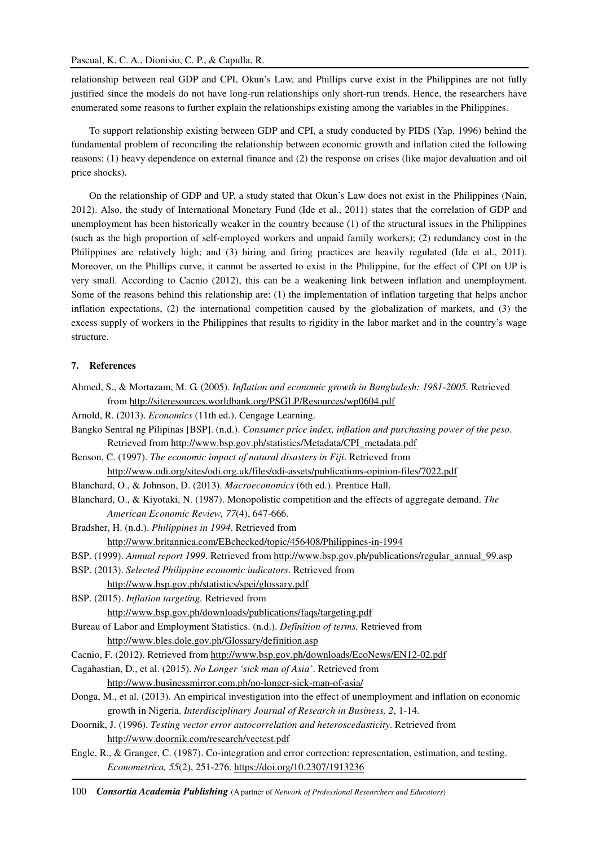relationship between real GDP and CPI, Okun's Law, and Phillips curve exist in the Philippines are not fully justified since the models do not have long-run relationships only short-run trends. Hence, the researchers have enumerated some reasons to further explain the relationships existing among the variables in the Philippines.

To support relationship existing between GDP and CPI, a study conducted by PIDS (Yap, 1996) behind the fundamental problem of reconciling the relationship between economic growth and inflation cited the following reasons: (1) heavy dependence on external finance and (2) the response on crises (like major devaluation and oil price shocks).

On the relationship of GDP and UP, a study stated that Okun's Law does not exist in the Philippines (Nain, 2012). Also, the study of International Monetary Fund (Ide et al., 2011) states that the correlation of GDP and unemployment has been historically weaker in the country because (1) of the structural issues in the Philippines (such as the high proportion of self-employed workers and unpaid family workers); (2) redundancy cost in the Philippines are relatively high; and (3) hiring and firing practices are heavily regulated (Ide et al., 2011). Moreover, on the Phillips curve, it cannot be asserted to exist in the Philippine, for the effect of CPI on UP is very small. According to Cacnio (2012), this can be a weakening link between inflation and unemployment. Some of the reasons behind this relationship are: (1) the implementation of inflation targeting that helps anchor inflation expectations, (2) the international competition caused by the globalization of markets, and (3) the excess supply of workers in the Philippines that results to rigidity in the labor market and in the country's wage structure.

#### **7. References**

- Ahmed, S., & Mortazam, M. G. (2005). *Inflation and economic growth in Bangladesh: 1981-2005.* Retrieved from http://siteresources.worldbank.org/PSGLP/Resources/wp0604.pdf
- Arnold, R. (2013). *Economics* (11th ed.). Cengage Learning.
- Bangko Sentral ng Pilipinas [BSP]. (n.d.). *Consumer price index, inflation and purchasing power of the peso*. Retrieved from http://www.bsp.gov.ph/statistics/Metadata/CPI\_metadata.pdf
- Benson, C. (1997). *The economic impact of natural disasters in Fiji*. Retrieved from http://www.odi.org/sites/odi.org.uk/files/odi-assets/publications-opinion-files/7022.pdf
- Blanchard, O., & Johnson, D. (2013). *Macroeconomics* (6th ed.). Prentice Hall.
- Blanchard, O., & Kiyotaki, N. (1987). Monopolistic competition and the effects of aggregate demand. *The American Economic Review, 77*(4), 647-666.
- Bradsher, H. (n.d.). *Philippines in 1994.* Retrieved from

http://www.britannica.com/EBchecked/topic/456408/Philippines-in-1994

- BSP. (1999). *Annual report 1999*. Retrieved from http://www.bsp.gov.ph/publications/regular\_annual\_99.asp
- BSP. (2013). *Selected Philippine economic indicators*. Retrieved from http://www.bsp.gov.ph/statistics/spei/glossary.pdf
- BSP. (2015). *Inflation targeting.* Retrieved from http://www.bsp.gov.ph/downloads/publications/faqs/targeting.pdf
- Bureau of Labor and Employment Statistics. (n.d.). *Definition of terms.* Retrieved from http://www.bles.dole.gov.ph/Glossary/definition.asp

Cacnio, F. (2012). Retrieved from http://www.bsp.gov.ph/downloads/EcoNews/EN12-02.pdf

Cagahastian, D., et al. (2015). *No Longer 'sick man of Asia'*. Retrieved from http://www.businessmirror.com.ph/no-longer-sick-man-of-asia/

- Donga, M., et al. (2013). An empirical investigation into the effect of unemployment and inflation on economic growth in Nigeria. *Interdisciplinary Journal of Research in Business, 2*, 1-14.
- Doornik, J. (1996). *Testing vector error autocorrelation and heteroscedasticity*. Retrieved from http://www.doornik.com/research/vectest.pdf
- Engle, R., & Granger, C. (1987). Co-integration and error correction: representation, estimation, and testing. *Econometrica, 55*(2), 251-276. https://doi.org/10.2307/1913236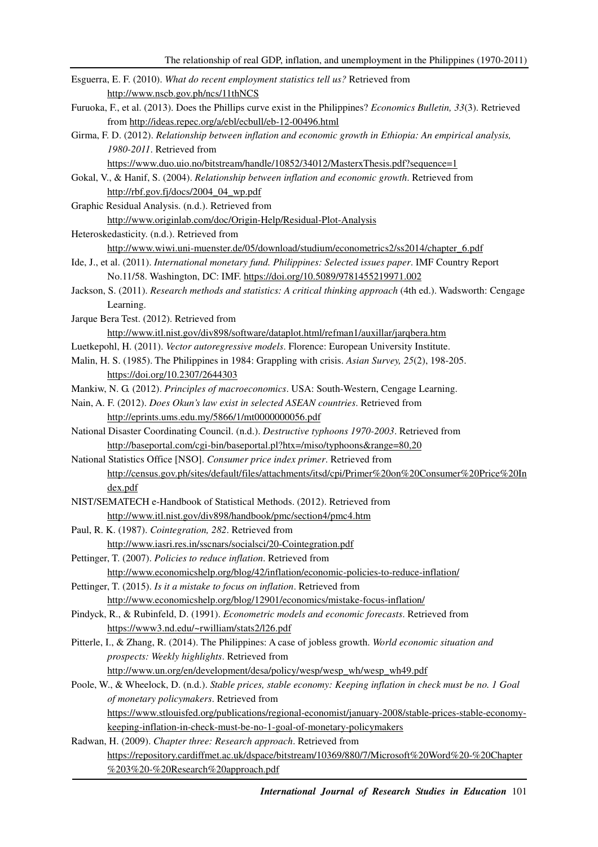| Esguerra, E. F. (2010). What do recent employment statistics tell us? Retrieved from                               |
|--------------------------------------------------------------------------------------------------------------------|
| http://www.nscb.gov.ph/ncs/11thNCS                                                                                 |
| Furuoka, F., et al. (2013). Does the Phillips curve exist in the Philippines? Economics Bulletin, 33(3). Retrieved |
| from http://ideas.repec.org/a/ebl/ecbull/eb-12-00496.html                                                          |
| Girma, F. D. (2012). Relationship between inflation and economic growth in Ethiopia: An empirical analysis,        |
| 1980-2011. Retrieved from                                                                                          |
| https://www.duo.uio.no/bitstream/handle/10852/34012/MasterxThesis.pdf?sequence=1                                   |
| Gokal, V., & Hanif, S. (2004). Relationship between inflation and economic growth. Retrieved from                  |
| http://rbf.gov.fj/docs/2004_04_wp.pdf                                                                              |
| Graphic Residual Analysis. (n.d.). Retrieved from                                                                  |
| http://www.originlab.com/doc/Origin-Help/Residual-Plot-Analysis                                                    |
| Heteroskedasticity. (n.d.). Retrieved from                                                                         |
| http://www.wiwi.uni-muenster.de/05/download/studium/econometrics2/ss2014/chapter_6.pdf                             |
| Ide, J., et al. (2011). International monetary fund. Philippines: Selected issues paper. IMF Country Report        |
| No.11/58. Washington, DC: IMF. https://doi.org/10.5089/9781455219971.002                                           |
| Jackson, S. (2011). Research methods and statistics: A critical thinking approach (4th ed.). Wadsworth: Cengage    |
| Learning.                                                                                                          |
| Jarque Bera Test. (2012). Retrieved from                                                                           |
| http://www.itl.nist.gov/div898/software/dataplot.html/refman1/auxillar/jarqbera.htm                                |
| Luetkepohl, H. (2011). Vector autoregressive models. Florence: European University Institute.                      |
| Malin, H. S. (1985). The Philippines in 1984: Grappling with crisis. Asian Survey, 25(2), 198-205.                 |
| https://doi.org/10.2307/2644303                                                                                    |
| Mankiw, N. G. (2012). Principles of macroeconomics. USA: South-Western, Cengage Learning.                          |
| Nain, A. F. (2012). Does Okun's law exist in selected ASEAN countries. Retrieved from                              |
| http://eprints.ums.edu.my/5866/1/mt0000000056.pdf                                                                  |
| National Disaster Coordinating Council. (n.d.). Destructive typhoons 1970-2003. Retrieved from                     |
| http://baseportal.com/cgi-bin/baseportal.pl?htx=/miso/typhoons⦥=80,20                                              |
| National Statistics Office [NSO]. Consumer price index primer. Retrieved from                                      |
| http://census.gov.ph/sites/default/files/attachments/itsd/cpi/Primer%20on%20Consumer%20Price%20In                  |
| dex.pdf                                                                                                            |
| NIST/SEMATECH e-Handbook of Statistical Methods. (2012). Retrieved from                                            |
| http://www.itl.nist.gov/div898/handbook/pmc/section4/pmc4.htm                                                      |
| Paul, R. K. (1987). Cointegration, 282. Retrieved from                                                             |
| http://www.iasri.res.in/sscnars/socialsci/20-Cointegration.pdf                                                     |
| Pettinger, T. (2007). Policies to reduce inflation. Retrieved from                                                 |
| http://www.economicshelp.org/blog/42/inflation/economic-policies-to-reduce-inflation/                              |
| Pettinger, T. (2015). Is it a mistake to focus on inflation. Retrieved from                                        |
| http://www.economicshelp.org/blog/12901/economics/mistake-focus-inflation/                                         |
| Pindyck, R., & Rubinfeld, D. (1991). Econometric models and economic forecasts. Retrieved from                     |
| https://www3.nd.edu/~rwilliam/stats2/l26.pdf                                                                       |
| Pitterle, I., & Zhang, R. (2014). The Philippines: A case of jobless growth. World economic situation and          |
| prospects: Weekly highlights. Retrieved from                                                                       |
| http://www.un.org/en/development/desa/policy/wesp/wesp_wh/wesp_wh49.pdf                                            |
| Poole, W., & Wheelock, D. (n.d.). Stable prices, stable economy: Keeping inflation in check must be no. 1 Goal     |
| of monetary policymakers. Retrieved from                                                                           |
| https://www.stlouisfed.org/publications/regional-economist/january-2008/stable-prices-stable-economy-              |
| keeping-inflation-in-check-must-be-no-1-goal-of-monetary-policymakers                                              |
| Radwan, H. (2009). Chapter three: Research approach. Retrieved from                                                |
| https://repository.cardiffmet.ac.uk/dspace/bitstream/10369/880/7/Microsoft%20Word%20-%20Chapter                    |
| %203%20-%20Research%20approach.pdf                                                                                 |
|                                                                                                                    |